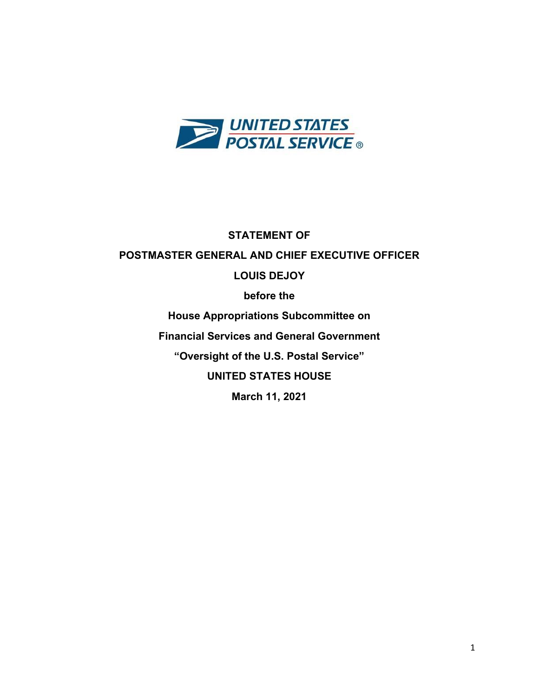

**STATEMENT OF POSTMASTER GENERAL AND CHIEF EXECUTIVE OFFICER LOUIS DEJOY before the House Appropriations Subcommittee on Financial Services and General Government "Oversight of the U.S. Postal Service" UNITED STATES HOUSE March 11, 2021**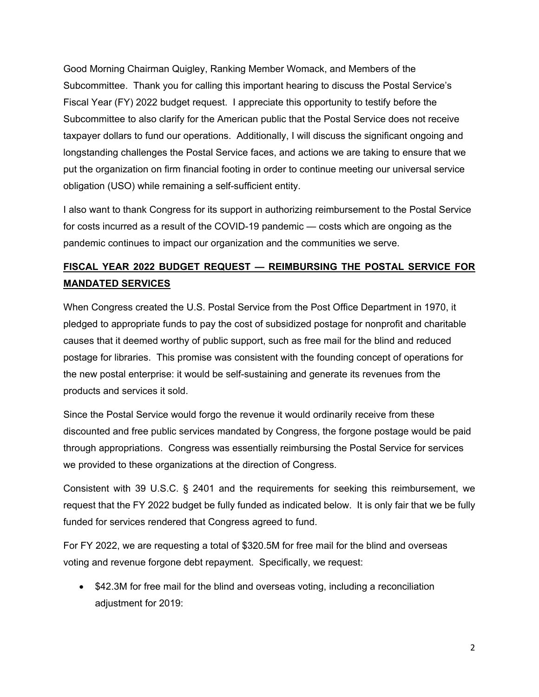Good Morning Chairman Quigley, Ranking Member Womack, and Members of the Subcommittee. Thank you for calling this important hearing to discuss the Postal Service's Fiscal Year (FY) 2022 budget request. I appreciate this opportunity to testify before the Subcommittee to also clarify for the American public that the Postal Service does not receive taxpayer dollars to fund our operations. Additionally, I will discuss the significant ongoing and longstanding challenges the Postal Service faces, and actions we are taking to ensure that we put the organization on firm financial footing in order to continue meeting our universal service obligation (USO) while remaining a self-sufficient entity.

I also want to thank Congress for its support in authorizing reimbursement to the Postal Service for costs incurred as a result of the COVID-19 pandemic — costs which are ongoing as the pandemic continues to impact our organization and the communities we serve.

# **FISCAL YEAR 2022 BUDGET REQUEST — REIMBURSING THE POSTAL SERVICE FOR MANDATED SERVICES**

When Congress created the U.S. Postal Service from the Post Office Department in 1970, it pledged to appropriate funds to pay the cost of subsidized postage for nonprofit and charitable causes that it deemed worthy of public support, such as free mail for the blind and reduced postage for libraries. This promise was consistent with the founding concept of operations for the new postal enterprise: it would be self-sustaining and generate its revenues from the products and services it sold.

Since the Postal Service would forgo the revenue it would ordinarily receive from these discounted and free public services mandated by Congress, the forgone postage would be paid through appropriations. Congress was essentially reimbursing the Postal Service for services we provided to these organizations at the direction of Congress.

Consistent with 39 U.S.C. § 2401 and the requirements for seeking this reimbursement, we request that the FY 2022 budget be fully funded as indicated below. It is only fair that we be fully funded for services rendered that Congress agreed to fund.

For FY 2022, we are requesting a total of \$320.5M for free mail for the blind and overseas voting and revenue forgone debt repayment. Specifically, we request:

• \$42.3M for free mail for the blind and overseas voting, including a reconciliation adjustment for 2019: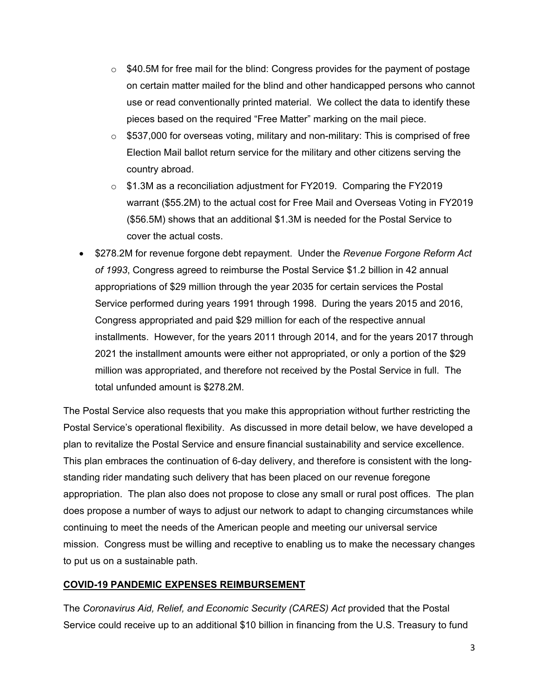- $\circ$  \$40.5M for free mail for the blind: Congress provides for the payment of postage on certain matter mailed for the blind and other handicapped persons who cannot use or read conventionally printed material. We collect the data to identify these pieces based on the required "Free Matter" marking on the mail piece.
- $\circ$  \$537,000 for overseas voting, military and non-military: This is comprised of free Election Mail ballot return service for the military and other citizens serving the country abroad.
- $\circ$  \$1.3M as a reconciliation adjustment for FY2019. Comparing the FY2019 warrant (\$55.2M) to the actual cost for Free Mail and Overseas Voting in FY2019 (\$56.5M) shows that an additional \$1.3M is needed for the Postal Service to cover the actual costs.
- \$278.2M for revenue forgone debt repayment. Under the *Revenue Forgone Reform Act of 1993*, Congress agreed to reimburse the Postal Service \$1.2 billion in 42 annual appropriations of \$29 million through the year 2035 for certain services the Postal Service performed during years 1991 through 1998. During the years 2015 and 2016, Congress appropriated and paid \$29 million for each of the respective annual installments. However, for the years 2011 through 2014, and for the years 2017 through 2021 the installment amounts were either not appropriated, or only a portion of the \$29 million was appropriated, and therefore not received by the Postal Service in full. The total unfunded amount is \$278.2M.

The Postal Service also requests that you make this appropriation without further restricting the Postal Service's operational flexibility. As discussed in more detail below, we have developed a plan to revitalize the Postal Service and ensure financial sustainability and service excellence. This plan embraces the continuation of 6-day delivery, and therefore is consistent with the longstanding rider mandating such delivery that has been placed on our revenue foregone appropriation. The plan also does not propose to close any small or rural post offices. The plan does propose a number of ways to adjust our network to adapt to changing circumstances while continuing to meet the needs of the American people and meeting our universal service mission. Congress must be willing and receptive to enabling us to make the necessary changes to put us on a sustainable path.

## **COVID-19 PANDEMIC EXPENSES REIMBURSEMENT**

The *Coronavirus Aid, Relief, and Economic Security (CARES) Act* provided that the Postal Service could receive up to an additional \$10 billion in financing from the U.S. Treasury to fund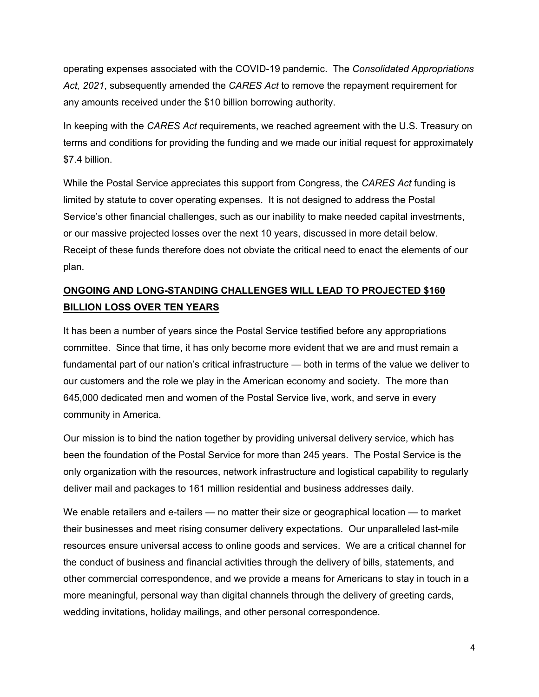operating expenses associated with the COVID-19 pandemic. The *Consolidated Appropriations Act, 2021*, subsequently amended the *CARES Act* to remove the repayment requirement for any amounts received under the \$10 billion borrowing authority.

In keeping with the *CARES Act* requirements, we reached agreement with the U.S. Treasury on terms and conditions for providing the funding and we made our initial request for approximately \$7.4 billion.

While the Postal Service appreciates this support from Congress, the *CARES Act* funding is limited by statute to cover operating expenses. It is not designed to address the Postal Service's other financial challenges, such as our inability to make needed capital investments, or our massive projected losses over the next 10 years, discussed in more detail below. Receipt of these funds therefore does not obviate the critical need to enact the elements of our plan.

# **ONGOING AND LONG-STANDING CHALLENGES WILL LEAD TO PROJECTED \$160 BILLION LOSS OVER TEN YEARS**

It has been a number of years since the Postal Service testified before any appropriations committee. Since that time, it has only become more evident that we are and must remain a fundamental part of our nation's critical infrastructure — both in terms of the value we deliver to our customers and the role we play in the American economy and society. The more than 645,000 dedicated men and women of the Postal Service live, work, and serve in every community in America.

Our mission is to bind the nation together by providing universal delivery service, which has been the foundation of the Postal Service for more than 245 years. The Postal Service is the only organization with the resources, network infrastructure and logistical capability to regularly deliver mail and packages to 161 million residential and business addresses daily.

We enable retailers and e-tailers — no matter their size or geographical location — to market their businesses and meet rising consumer delivery expectations. Our unparalleled last-mile resources ensure universal access to online goods and services. We are a critical channel for the conduct of business and financial activities through the delivery of bills, statements, and other commercial correspondence, and we provide a means for Americans to stay in touch in a more meaningful, personal way than digital channels through the delivery of greeting cards, wedding invitations, holiday mailings, and other personal correspondence.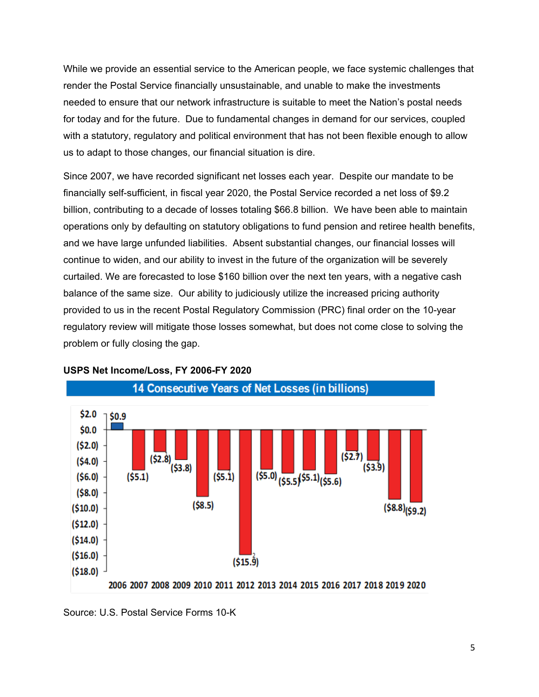While we provide an essential service to the American people, we face systemic challenges that render the Postal Service financially unsustainable, and unable to make the investments needed to ensure that our network infrastructure is suitable to meet the Nation's postal needs for today and for the future. Due to fundamental changes in demand for our services, coupled with a statutory, regulatory and political environment that has not been flexible enough to allow us to adapt to those changes, our financial situation is dire.

Since 2007, we have recorded significant net losses each year. Despite our mandate to be financially self-sufficient, in fiscal year 2020, the Postal Service recorded a net loss of \$9.2 billion, contributing to a decade of losses totaling \$66.8 billion. We have been able to maintain operations only by defaulting on statutory obligations to fund pension and retiree health benefits, and we have large unfunded liabilities. Absent substantial changes, our financial losses will continue to widen, and our ability to invest in the future of the organization will be severely curtailed. We are forecasted to lose \$160 billion over the next ten years, with a negative cash balance of the same size. Our ability to judiciously utilize the increased pricing authority provided to us in the recent Postal Regulatory Commission (PRC) final order on the 10-year regulatory review will mitigate those losses somewhat, but does not come close to solving the problem or fully closing the gap.



#### **USPS Net Income/Loss, FY 2006-FY 2020**

Source: U.S. Postal Service Forms 10-K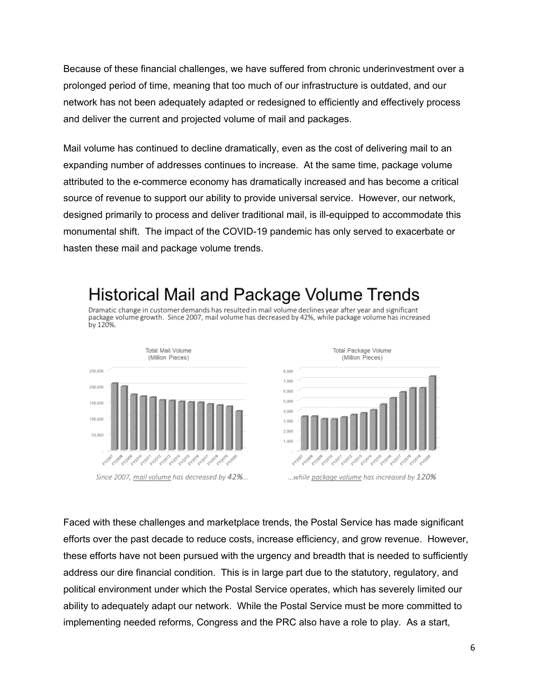Because of these financial challenges, we have suffered from chronic underinvestment over a prolonged period of time, meaning that too much of our infrastructure is outdated, and our network has not been adequately adapted or redesigned to efficiently and effectively process and deliver the current and projected volume of mail and packages.

Mail volume has continued to decline dramatically, even as the cost of delivering mail to an expanding number of addresses continues to increase. At the same time, package volume attributed to the e-commerce economy has dramatically increased and has become a critical source of revenue to support our ability to provide universal service. However, our network, designed primarily to process and deliver traditional mail, is ill-equipped to accommodate this monumental shift. The impact of the COVID-19 pandemic has only served to exacerbate or hasten these mail and package volume trends.

# Historical Mail and Package Volume Trends

Dramatic change in customer demands has resulted in mail volume declines year after year and significant package volume growth. Since 2007, mail volume has decreased by 42%, while package volume has increased by 120%.



Faced with these challenges and marketplace trends, the Postal Service has made significant efforts over the past decade to reduce costs, increase efficiency, and grow revenue. However, these efforts have not been pursued with the urgency and breadth that is needed to sufficiently address our dire financial condition. This is in large part due to the statutory, regulatory, and political environment under which the Postal Service operates, which has severely limited our ability to adequately adapt our network. While the Postal Service must be more committed to implementing needed reforms, Congress and the PRC also have a role to play. As a start,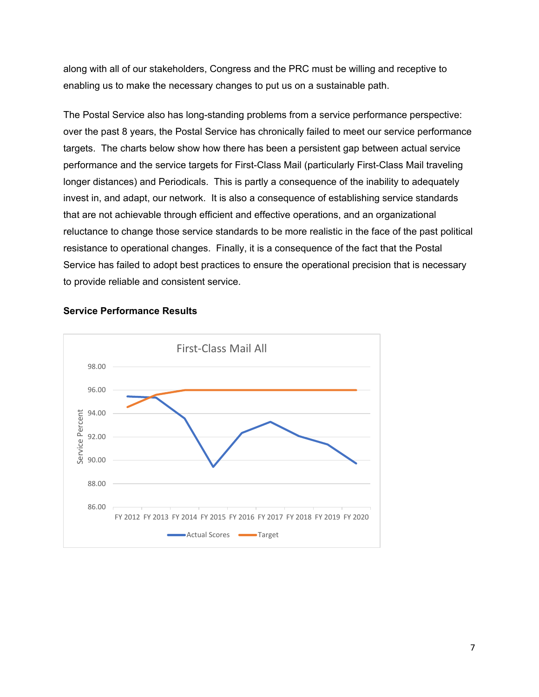along with all of our stakeholders, Congress and the PRC must be willing and receptive to enabling us to make the necessary changes to put us on a sustainable path.

The Postal Service also has long-standing problems from a service performance perspective: over the past 8 years, the Postal Service has chronically failed to meet our service performance targets. The charts below show how there has been a persistent gap between actual service performance and the service targets for First-Class Mail (particularly First-Class Mail traveling longer distances) and Periodicals. This is partly a consequence of the inability to adequately invest in, and adapt, our network. It is also a consequence of establishing service standards that are not achievable through efficient and effective operations, and an organizational reluctance to change those service standards to be more realistic in the face of the past political resistance to operational changes. Finally, it is a consequence of the fact that the Postal Service has failed to adopt best practices to ensure the operational precision that is necessary to provide reliable and consistent service.



#### **Service Performance Results**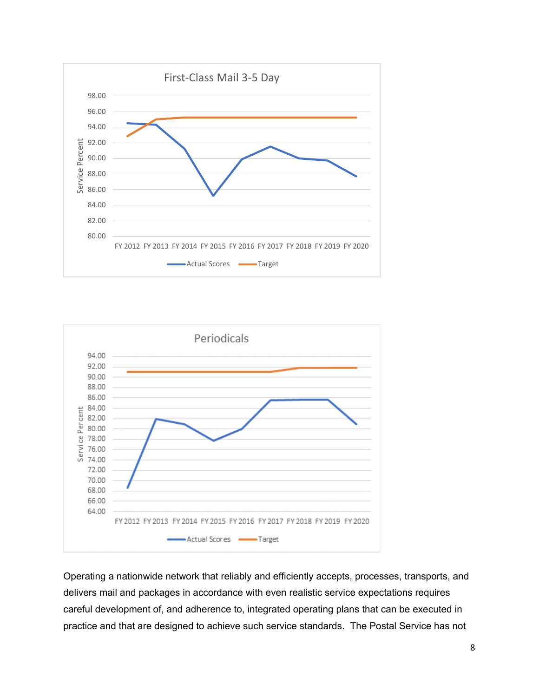



Operating a nationwide network that reliably and efficiently accepts, processes, transports, and delivers mail and packages in accordance with even realistic service expectations requires careful development of, and adherence to, integrated operating plans that can be executed in practice and that are designed to achieve such service standards. The Postal Service has not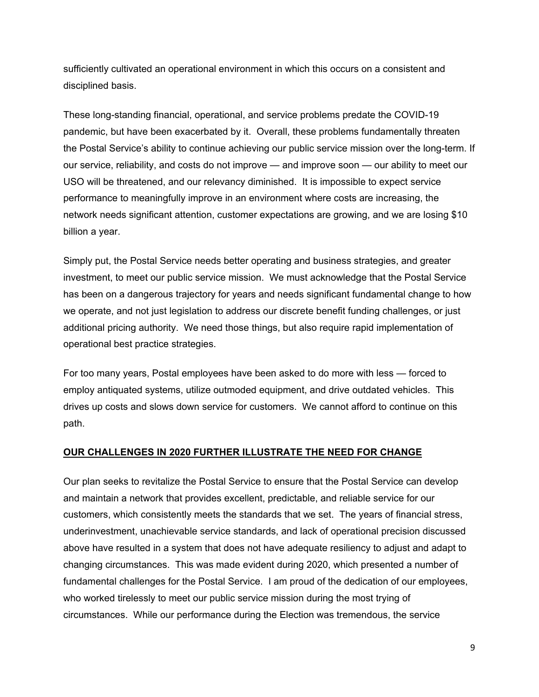sufficiently cultivated an operational environment in which this occurs on a consistent and disciplined basis.

These long-standing financial, operational, and service problems predate the COVID-19 pandemic, but have been exacerbated by it. Overall, these problems fundamentally threaten the Postal Service's ability to continue achieving our public service mission over the long-term. If our service, reliability, and costs do not improve — and improve soon — our ability to meet our USO will be threatened, and our relevancy diminished. It is impossible to expect service performance to meaningfully improve in an environment where costs are increasing, the network needs significant attention, customer expectations are growing, and we are losing \$10 billion a year.

Simply put, the Postal Service needs better operating and business strategies, and greater investment, to meet our public service mission. We must acknowledge that the Postal Service has been on a dangerous trajectory for years and needs significant fundamental change to how we operate, and not just legislation to address our discrete benefit funding challenges, or just additional pricing authority. We need those things, but also require rapid implementation of operational best practice strategies.

For too many years, Postal employees have been asked to do more with less — forced to employ antiquated systems, utilize outmoded equipment, and drive outdated vehicles. This drives up costs and slows down service for customers. We cannot afford to continue on this path.

## **OUR CHALLENGES IN 2020 FURTHER ILLUSTRATE THE NEED FOR CHANGE**

Our plan seeks to revitalize the Postal Service to ensure that the Postal Service can develop and maintain a network that provides excellent, predictable, and reliable service for our customers, which consistently meets the standards that we set. The years of financial stress, underinvestment, unachievable service standards, and lack of operational precision discussed above have resulted in a system that does not have adequate resiliency to adjust and adapt to changing circumstances. This was made evident during 2020, which presented a number of fundamental challenges for the Postal Service. I am proud of the dedication of our employees, who worked tirelessly to meet our public service mission during the most trying of circumstances. While our performance during the Election was tremendous, the service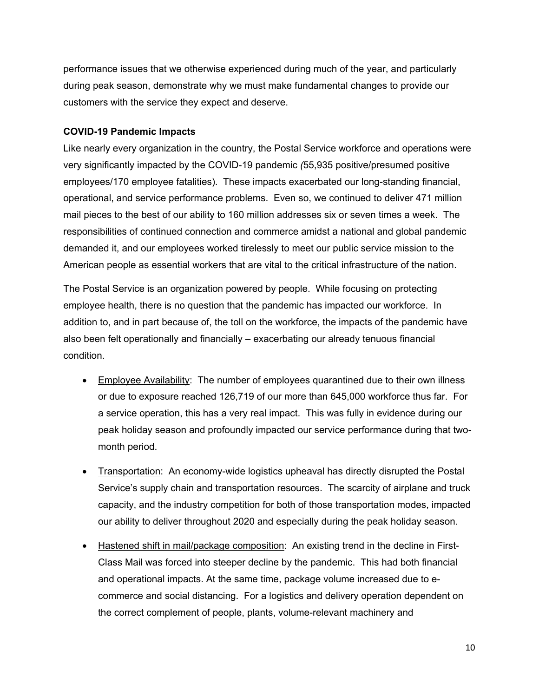performance issues that we otherwise experienced during much of the year, and particularly during peak season, demonstrate why we must make fundamental changes to provide our customers with the service they expect and deserve.

#### **COVID-19 Pandemic Impacts**

Like nearly every organization in the country, the Postal Service workforce and operations were very significantly impacted by the COVID-19 pandemic *(*55,935 positive/presumed positive employees/170 employee fatalities). These impacts exacerbated our long-standing financial, operational, and service performance problems. Even so, we continued to deliver 471 million mail pieces to the best of our ability to 160 million addresses six or seven times a week. The responsibilities of continued connection and commerce amidst a national and global pandemic demanded it, and our employees worked tirelessly to meet our public service mission to the American people as essential workers that are vital to the critical infrastructure of the nation.

The Postal Service is an organization powered by people. While focusing on protecting employee health, there is no question that the pandemic has impacted our workforce. In addition to, and in part because of, the toll on the workforce, the impacts of the pandemic have also been felt operationally and financially – exacerbating our already tenuous financial condition.

- Employee Availability: The number of employees quarantined due to their own illness or due to exposure reached 126,719 of our more than 645,000 workforce thus far. For a service operation, this has a very real impact. This was fully in evidence during our peak holiday season and profoundly impacted our service performance during that twomonth period.
- Transportation: An economy-wide logistics upheaval has directly disrupted the Postal Service's supply chain and transportation resources. The scarcity of airplane and truck capacity, and the industry competition for both of those transportation modes, impacted our ability to deliver throughout 2020 and especially during the peak holiday season.
- Hastened shift in mail/package composition: An existing trend in the decline in First-Class Mail was forced into steeper decline by the pandemic. This had both financial and operational impacts. At the same time, package volume increased due to ecommerce and social distancing. For a logistics and delivery operation dependent on the correct complement of people, plants, volume-relevant machinery and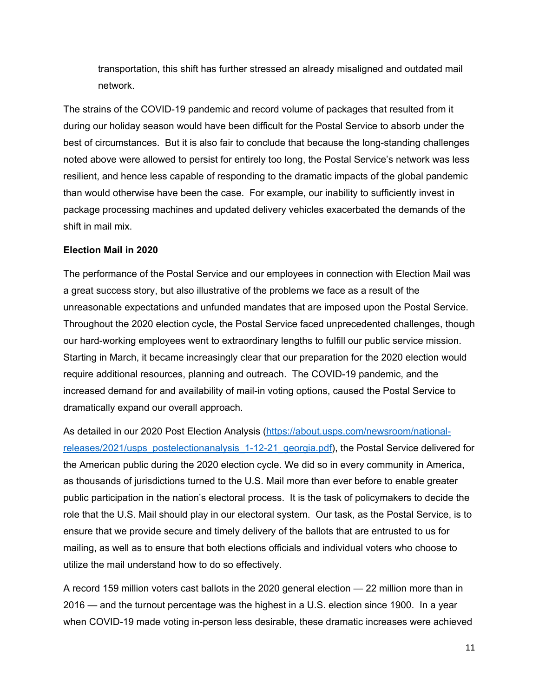transportation, this shift has further stressed an already misaligned and outdated mail network.

The strains of the COVID-19 pandemic and record volume of packages that resulted from it during our holiday season would have been difficult for the Postal Service to absorb under the best of circumstances. But it is also fair to conclude that because the long-standing challenges noted above were allowed to persist for entirely too long, the Postal Service's network was less resilient, and hence less capable of responding to the dramatic impacts of the global pandemic than would otherwise have been the case. For example, our inability to sufficiently invest in package processing machines and updated delivery vehicles exacerbated the demands of the shift in mail mix.

#### **Election Mail in 2020**

The performance of the Postal Service and our employees in connection with Election Mail was a great success story, but also illustrative of the problems we face as a result of the unreasonable expectations and unfunded mandates that are imposed upon the Postal Service. Throughout the 2020 election cycle, the Postal Service faced unprecedented challenges, though our hard-working employees went to extraordinary lengths to fulfill our public service mission. Starting in March, it became increasingly clear that our preparation for the 2020 election would require additional resources, planning and outreach. The COVID-19 pandemic, and the increased demand for and availability of mail-in voting options, caused the Postal Service to dramatically expand our overall approach.

As detailed in our 2020 Post Election Analysis [\(https://about.usps.com/newsroom/national](https://about.usps.com/newsroom/national-releases/2021/usps_postelectionanalysis_1-12-21_georgia.pdf)[releases/2021/usps\\_postelectionanalysis\\_1-12-21\\_georgia.pdf\)](https://about.usps.com/newsroom/national-releases/2021/usps_postelectionanalysis_1-12-21_georgia.pdf), the Postal Service delivered for the American public during the 2020 election cycle. We did so in every community in America, as thousands of jurisdictions turned to the U.S. Mail more than ever before to enable greater public participation in the nation's electoral process. It is the task of policymakers to decide the role that the U.S. Mail should play in our electoral system. Our task, as the Postal Service, is to ensure that we provide secure and timely delivery of the ballots that are entrusted to us for mailing, as well as to ensure that both elections officials and individual voters who choose to utilize the mail understand how to do so effectively.

A record 159 million voters cast ballots in the 2020 general election — 22 million more than in 2016 — and the turnout percentage was the highest in a U.S. election since 1900. In a year when COVID-19 made voting in-person less desirable, these dramatic increases were achieved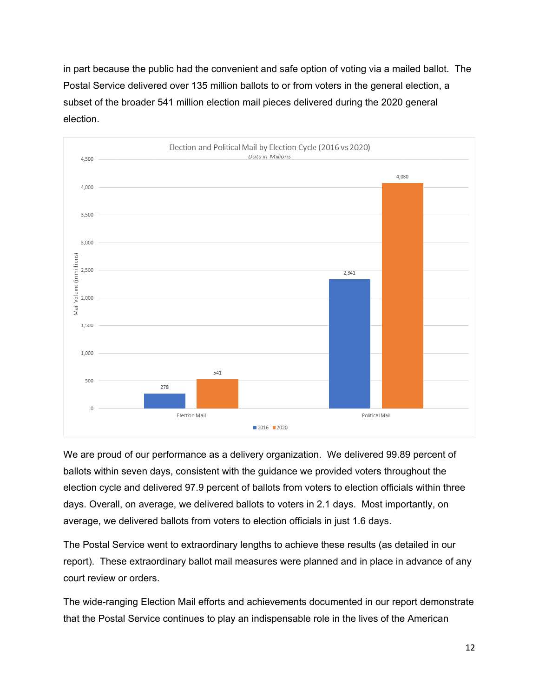in part because the public had the convenient and safe option of voting via a mailed ballot. The Postal Service delivered over 135 million ballots to or from voters in the general election, a subset of the broader 541 million election mail pieces delivered during the 2020 general election.



We are proud of our performance as a delivery organization. We delivered 99.89 percent of ballots within seven days, consistent with the guidance we provided voters throughout the election cycle and delivered 97.9 percent of ballots from voters to election officials within three days. Overall, on average, we delivered ballots to voters in 2.1 days. Most importantly, on average, we delivered ballots from voters to election officials in just 1.6 days.

The Postal Service went to extraordinary lengths to achieve these results (as detailed in our report). These extraordinary ballot mail measures were planned and in place in advance of any court review or orders.

The wide-ranging Election Mail efforts and achievements documented in our report demonstrate that the Postal Service continues to play an indispensable role in the lives of the American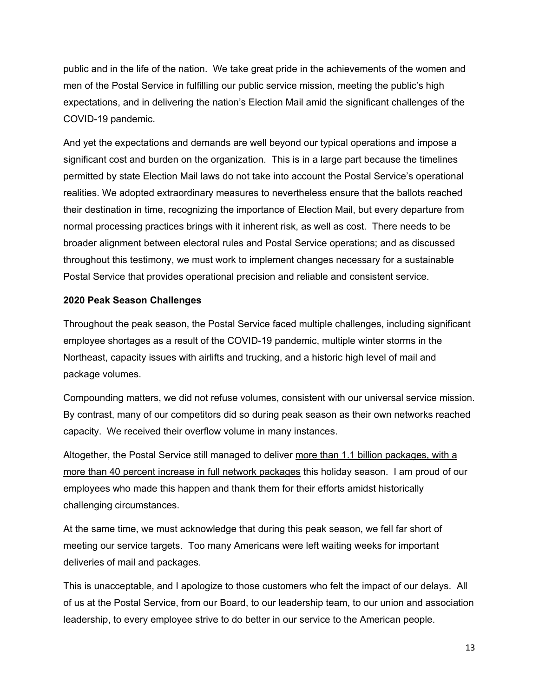public and in the life of the nation. We take great pride in the achievements of the women and men of the Postal Service in fulfilling our public service mission, meeting the public's high expectations, and in delivering the nation's Election Mail amid the significant challenges of the COVID-19 pandemic.

And yet the expectations and demands are well beyond our typical operations and impose a significant cost and burden on the organization. This is in a large part because the timelines permitted by state Election Mail laws do not take into account the Postal Service's operational realities. We adopted extraordinary measures to nevertheless ensure that the ballots reached their destination in time, recognizing the importance of Election Mail, but every departure from normal processing practices brings with it inherent risk, as well as cost. There needs to be broader alignment between electoral rules and Postal Service operations; and as discussed throughout this testimony, we must work to implement changes necessary for a sustainable Postal Service that provides operational precision and reliable and consistent service.

## **2020 Peak Season Challenges**

Throughout the peak season, the Postal Service faced multiple challenges, including significant employee shortages as a result of the COVID-19 pandemic, multiple winter storms in the Northeast, capacity issues with airlifts and trucking, and a historic high level of mail and package volumes.

Compounding matters, we did not refuse volumes, consistent with our universal service mission. By contrast, many of our competitors did so during peak season as their own networks reached capacity. We received their overflow volume in many instances.

Altogether, the Postal Service still managed to deliver more than 1.1 billion packages, with a more than 40 percent increase in full network packages this holiday season. I am proud of our employees who made this happen and thank them for their efforts amidst historically challenging circumstances.

At the same time, we must acknowledge that during this peak season, we fell far short of meeting our service targets. Too many Americans were left waiting weeks for important deliveries of mail and packages.

This is unacceptable, and I apologize to those customers who felt the impact of our delays. All of us at the Postal Service, from our Board, to our leadership team, to our union and association leadership, to every employee strive to do better in our service to the American people.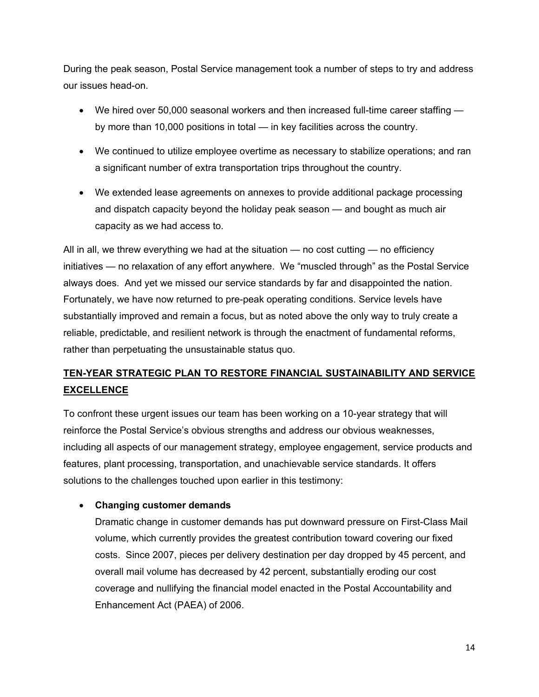During the peak season, Postal Service management took a number of steps to try and address our issues head-on.

- We hired over 50,000 seasonal workers and then increased full-time career staffing by more than 10,000 positions in total — in key facilities across the country.
- We continued to utilize employee overtime as necessary to stabilize operations; and ran a significant number of extra transportation trips throughout the country.
- We extended lease agreements on annexes to provide additional package processing and dispatch capacity beyond the holiday peak season — and bought as much air capacity as we had access to.

All in all, we threw everything we had at the situation — no cost cutting — no efficiency initiatives — no relaxation of any effort anywhere. We "muscled through" as the Postal Service always does. And yet we missed our service standards by far and disappointed the nation. Fortunately, we have now returned to pre-peak operating conditions. Service levels have substantially improved and remain a focus, but as noted above the only way to truly create a reliable, predictable, and resilient network is through the enactment of fundamental reforms, rather than perpetuating the unsustainable status quo.

# **TEN-YEAR STRATEGIC PLAN TO RESTORE FINANCIAL SUSTAINABILITY AND SERVICE EXCELLENCE**

To confront these urgent issues our team has been working on a 10-year strategy that will reinforce the Postal Service's obvious strengths and address our obvious weaknesses, including all aspects of our management strategy, employee engagement, service products and features, plant processing, transportation, and unachievable service standards. It offers solutions to the challenges touched upon earlier in this testimony:

# • **Changing customer demands**

Dramatic change in customer demands has put downward pressure on First-Class Mail volume, which currently provides the greatest contribution toward covering our fixed costs. Since 2007, pieces per delivery destination per day dropped by 45 percent, and overall mail volume has decreased by 42 percent, substantially eroding our cost coverage and nullifying the financial model enacted in the Postal Accountability and Enhancement Act (PAEA) of 2006.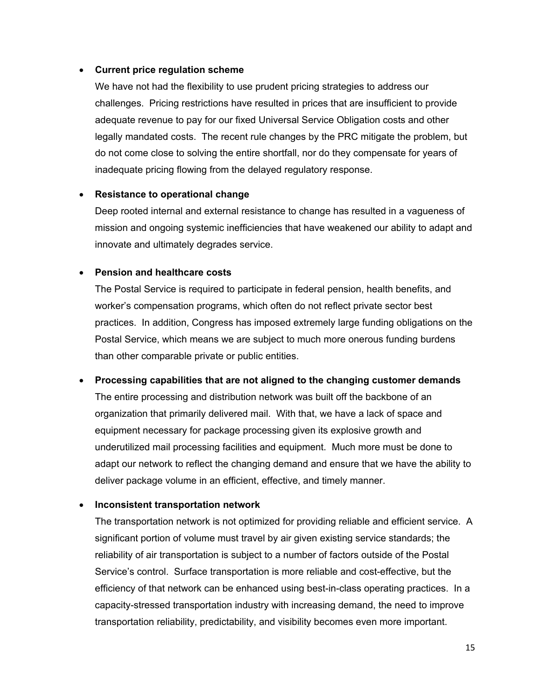#### • **Current price regulation scheme**

We have not had the flexibility to use prudent pricing strategies to address our challenges. Pricing restrictions have resulted in prices that are insufficient to provide adequate revenue to pay for our fixed Universal Service Obligation costs and other legally mandated costs. The recent rule changes by the PRC mitigate the problem, but do not come close to solving the entire shortfall, nor do they compensate for years of inadequate pricing flowing from the delayed regulatory response.

## • **Resistance to operational change**

Deep rooted internal and external resistance to change has resulted in a vagueness of mission and ongoing systemic inefficiencies that have weakened our ability to adapt and innovate and ultimately degrades service.

#### • **Pension and healthcare costs**

The Postal Service is required to participate in federal pension, health benefits, and worker's compensation programs, which often do not reflect private sector best practices. In addition, Congress has imposed extremely large funding obligations on the Postal Service, which means we are subject to much more onerous funding burdens than other comparable private or public entities.

## • **Processing capabilities that are not aligned to the changing customer demands**

The entire processing and distribution network was built off the backbone of an organization that primarily delivered mail. With that, we have a lack of space and equipment necessary for package processing given its explosive growth and underutilized mail processing facilities and equipment. Much more must be done to adapt our network to reflect the changing demand and ensure that we have the ability to deliver package volume in an efficient, effective, and timely manner.

## • **Inconsistent transportation network**

The transportation network is not optimized for providing reliable and efficient service. A significant portion of volume must travel by air given existing service standards; the reliability of air transportation is subject to a number of factors outside of the Postal Service's control. Surface transportation is more reliable and cost-effective, but the efficiency of that network can be enhanced using best-in-class operating practices. In a capacity-stressed transportation industry with increasing demand, the need to improve transportation reliability, predictability, and visibility becomes even more important.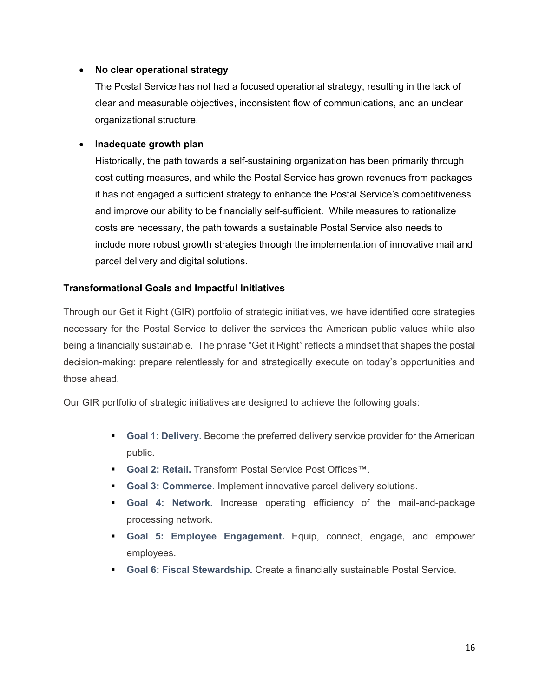## • **No clear operational strategy**

The Postal Service has not had a focused operational strategy, resulting in the lack of clear and measurable objectives, inconsistent flow of communications, and an unclear organizational structure.

## • **Inadequate growth plan**

Historically, the path towards a self-sustaining organization has been primarily through cost cutting measures, and while the Postal Service has grown revenues from packages it has not engaged a sufficient strategy to enhance the Postal Service's competitiveness and improve our ability to be financially self-sufficient. While measures to rationalize costs are necessary, the path towards a sustainable Postal Service also needs to include more robust growth strategies through the implementation of innovative mail and parcel delivery and digital solutions.

# **Transformational Goals and Impactful Initiatives**

Through our Get it Right (GIR) portfolio of strategic initiatives, we have identified core strategies necessary for the Postal Service to deliver the services the American public values while also being a financially sustainable. The phrase "Get it Right" reflects a mindset that shapes the postal decision-making: prepare relentlessly for and strategically execute on today's opportunities and those ahead.

Our GIR portfolio of strategic initiatives are designed to achieve the following goals:

- **Goal 1: Delivery.** Become the preferred delivery service provider for the American public.
- **Goal 2: Retail.** Transform Postal Service Post Offices™.
- **Goal 3: Commerce.** Implement innovative parcel delivery solutions.
- **Goal 4: Network.** Increase operating efficiency of the mail-and-package processing network.
- **Goal 5: Employee Engagement.** Equip, connect, engage, and empower employees.
- **Goal 6: Fiscal Stewardship.** Create a financially sustainable Postal Service.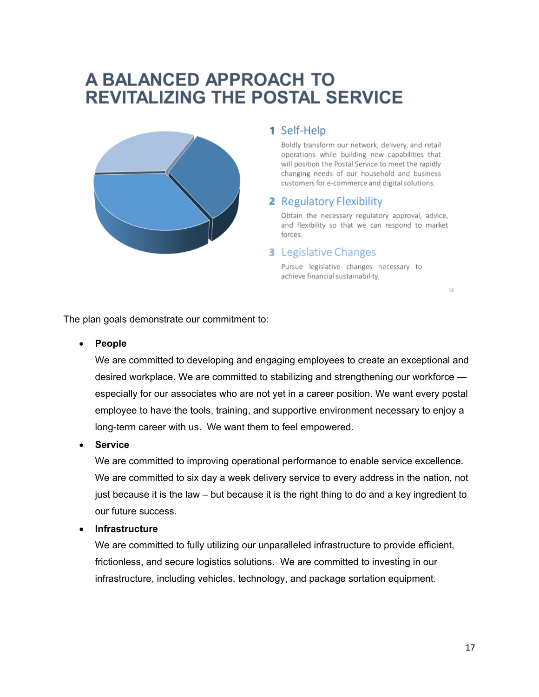# A BALANCED APPROACH TO **REVITALIZING THE POSTAL SERVICE**



# 1 Self-Help

Boldly transform our network, delivery, and retail operations while building new capabilities that will position the Postal Service to meet the rapidly changing needs of our household and business customers for e-commerce and digital solutions.

# **2** Regulatory Flexibility

Obtain the necessary regulatory approval, advice, and flexibility so that we can respond to market forces.

#### **3** Legislative Changes

Pursue legislative changes necessary to achieve financial sustainability.

18

The plan goals demonstrate our commitment to:

#### • **People**

We are committed to developing and engaging employees to create an exceptional and desired workplace. We are committed to stabilizing and strengthening our workforce especially for our associates who are not yet in a career position. We want every postal employee to have the tools, training, and supportive environment necessary to enjoy a long-term career with us. We want them to feel empowered.

#### • **Service**

We are committed to improving operational performance to enable service excellence. We are committed to six day a week delivery service to every address in the nation, not just because it is the law – but because it is the right thing to do and a key ingredient to our future success.

#### • **Infrastructure**

We are committed to fully utilizing our unparalleled infrastructure to provide efficient, frictionless, and secure logistics solutions. We are committed to investing in our infrastructure, including vehicles, technology, and package sortation equipment.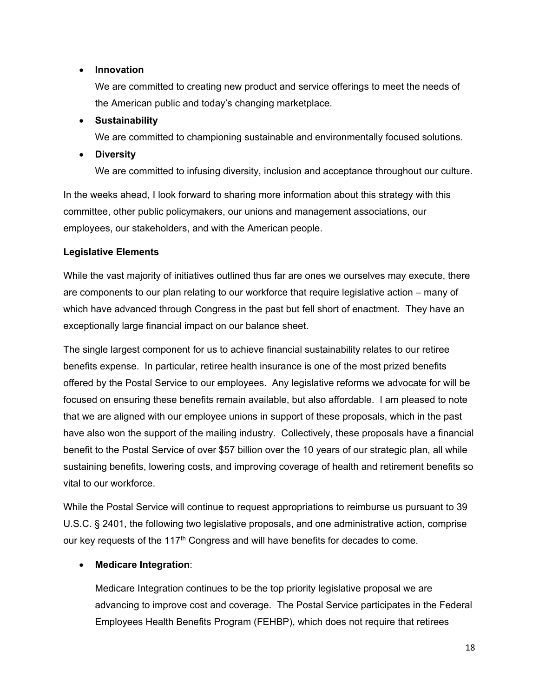## • **Innovation**

We are committed to creating new product and service offerings to meet the needs of the American public and today's changing marketplace.

# • **Sustainability**

We are committed to championing sustainable and environmentally focused solutions.

# • **Diversity**

We are committed to infusing diversity, inclusion and acceptance throughout our culture.

In the weeks ahead, I look forward to sharing more information about this strategy with this committee, other public policymakers, our unions and management associations, our employees, our stakeholders, and with the American people.

# **Legislative Elements**

While the vast majority of initiatives outlined thus far are ones we ourselves may execute, there are components to our plan relating to our workforce that require legislative action – many of which have advanced through Congress in the past but fell short of enactment. They have an exceptionally large financial impact on our balance sheet.

The single largest component for us to achieve financial sustainability relates to our retiree benefits expense. In particular, retiree health insurance is one of the most prized benefits offered by the Postal Service to our employees. Any legislative reforms we advocate for will be focused on ensuring these benefits remain available, but also affordable. I am pleased to note that we are aligned with our employee unions in support of these proposals, which in the past have also won the support of the mailing industry. Collectively, these proposals have a financial benefit to the Postal Service of over \$57 billion over the 10 years of our strategic plan, all while sustaining benefits, lowering costs, and improving coverage of health and retirement benefits so vital to our workforce.

While the Postal Service will continue to request appropriations to reimburse us pursuant to 39 U.S.C. § 2401, the following two legislative proposals, and one administrative action, comprise our key requests of the 117<sup>th</sup> Congress and will have benefits for decades to come.

# • **Medicare Integration**:

Medicare Integration continues to be the top priority legislative proposal we are advancing to improve cost and coverage. The Postal Service participates in the Federal Employees Health Benefits Program (FEHBP), which does not require that retirees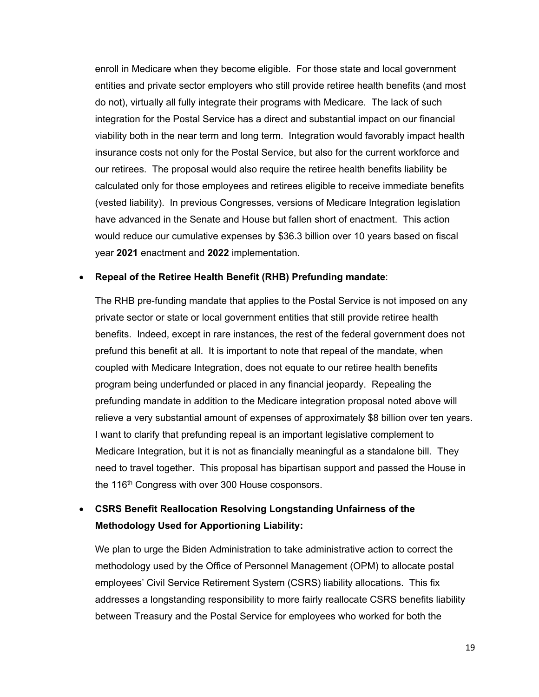enroll in Medicare when they become eligible. For those state and local government entities and private sector employers who still provide retiree health benefits (and most do not), virtually all fully integrate their programs with Medicare. The lack of such integration for the Postal Service has a direct and substantial impact on our financial viability both in the near term and long term. Integration would favorably impact health insurance costs not only for the Postal Service, but also for the current workforce and our retirees. The proposal would also require the retiree health benefits liability be calculated only for those employees and retirees eligible to receive immediate benefits (vested liability). In previous Congresses, versions of Medicare Integration legislation have advanced in the Senate and House but fallen short of enactment. This action would reduce our cumulative expenses by \$36.3 billion over 10 years based on fiscal year **2021** enactment and **2022** implementation.

#### • **Repeal of the Retiree Health Benefit (RHB) Prefunding mandate**:

The RHB pre-funding mandate that applies to the Postal Service is not imposed on any private sector or state or local government entities that still provide retiree health benefits. Indeed, except in rare instances, the rest of the federal government does not prefund this benefit at all. It is important to note that repeal of the mandate, when coupled with Medicare Integration, does not equate to our retiree health benefits program being underfunded or placed in any financial jeopardy. Repealing the prefunding mandate in addition to the Medicare integration proposal noted above will relieve a very substantial amount of expenses of approximately \$8 billion over ten years. I want to clarify that prefunding repeal is an important legislative complement to Medicare Integration, but it is not as financially meaningful as a standalone bill. They need to travel together. This proposal has bipartisan support and passed the House in the 116<sup>th</sup> Congress with over 300 House cosponsors.

# • **CSRS Benefit Reallocation Resolving Longstanding Unfairness of the Methodology Used for Apportioning Liability:**

We plan to urge the Biden Administration to take administrative action to correct the methodology used by the Office of Personnel Management (OPM) to allocate postal employees' Civil Service Retirement System (CSRS) liability allocations. This fix addresses a longstanding responsibility to more fairly reallocate CSRS benefits liability between Treasury and the Postal Service for employees who worked for both the